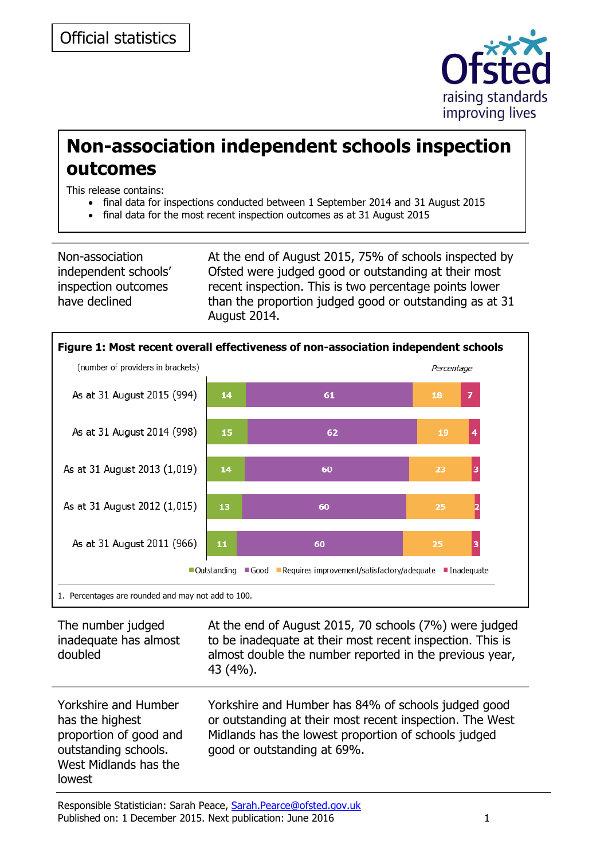

# **Non-association independent schools inspection outcomes**

This release contains:

- final data for inspections conducted between 1 September 2014 and 31 August 2015
- final data for the most recent inspection outcomes as at 31 August 2015

Non-association independent schools' inspection outcomes have declined

At the end of August 2015, 75% of schools inspected by Ofsted were judged good or outstanding at their most recent inspection. This is two percentage points lower than the proportion judged good or outstanding as at 31 August 2014.



1. Percentages are rounded and may not add to 100.

| The number judged<br>inadequate has almost<br>doubled                                                                        | At the end of August 2015, 70 schools (7%) were judged<br>to be inadequate at their most recent inspection. This is<br>almost double the number reported in the previous year,<br>43 (4%).             |
|------------------------------------------------------------------------------------------------------------------------------|--------------------------------------------------------------------------------------------------------------------------------------------------------------------------------------------------------|
| Yorkshire and Humber<br>has the highest<br>proportion of good and<br>outstanding schools.<br>West Midlands has the<br>lowest | Yorkshire and Humber has 84% of schools judged good<br>or outstanding at their most recent inspection. The West<br>Midlands has the lowest proportion of schools judged<br>good or outstanding at 69%. |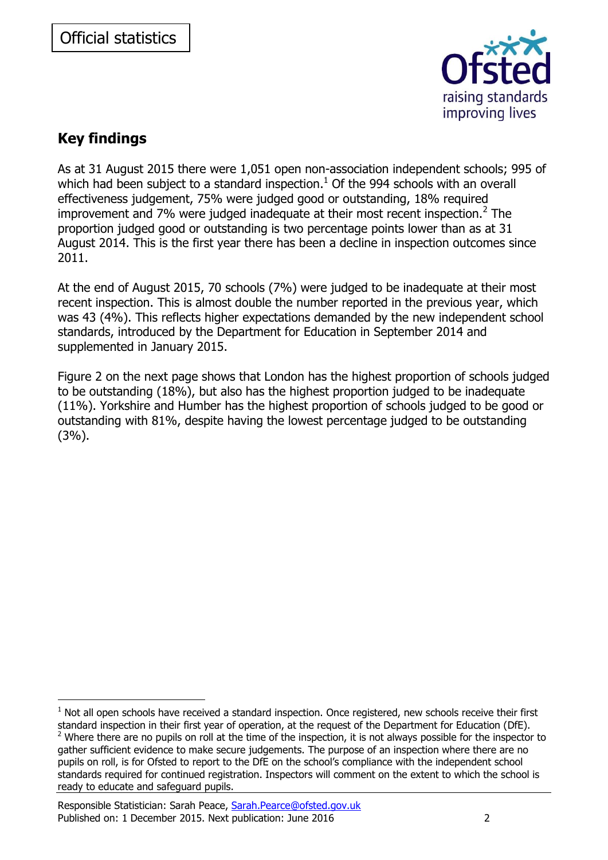

# **Key findings**

-

As at 31 August 2015 there were 1,051 open non-association independent schools; 995 of which had been subject to a standard inspection. $<sup>1</sup>$  Of the 994 schools with an overall</sup> effectiveness judgement, 75% were judged good or outstanding, 18% required improvement and 7% were judged inadequate at their most recent inspection.<sup>2</sup> The proportion judged good or outstanding is two percentage points lower than as at 31 August 2014. This is the first year there has been a decline in inspection outcomes since 2011.

At the end of August 2015, 70 schools (7%) were judged to be inadequate at their most recent inspection. This is almost double the number reported in the previous year, which was 43 (4%). This reflects higher expectations demanded by the new independent school standards, introduced by the Department for Education in September 2014 and supplemented in January 2015.

Figure 2 on the next page shows that London has the highest proportion of schools judged to be outstanding (18%), but also has the highest proportion judged to be inadequate (11%). Yorkshire and Humber has the highest proportion of schools judged to be good or outstanding with 81%, despite having the lowest percentage judged to be outstanding (3%).

 $1$  Not all open schools have received a standard inspection. Once registered, new schools receive their first standard inspection in their first year of operation, at the request of the Department for Education (DfE).  $2$  Where there are no pupils on roll at the time of the inspection, it is not always possible for the inspector to gather sufficient evidence to make secure judgements. The purpose of an inspection where there are no pupils on roll, is for Ofsted to report to the DfE on the school's compliance with the independent school standards required for continued registration. Inspectors will comment on the extent to which the school is ready to educate and safeguard pupils.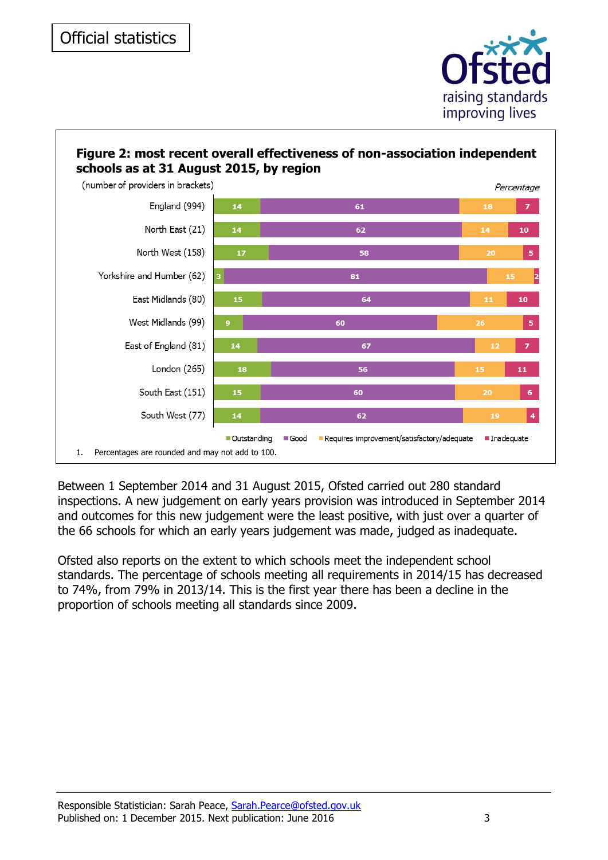



Between 1 September 2014 and 31 August 2015, Ofsted carried out 280 standard inspections. A new judgement on early years provision was introduced in September 2014 and outcomes for this new judgement were the least positive, with just over a quarter of the 66 schools for which an early years judgement was made, judged as inadequate.

Ofsted also reports on the extent to which schools meet the independent school standards. The percentage of schools meeting all requirements in 2014/15 has decreased to 74%, from 79% in 2013/14. This is the first year there has been a decline in the proportion of schools meeting all standards since 2009.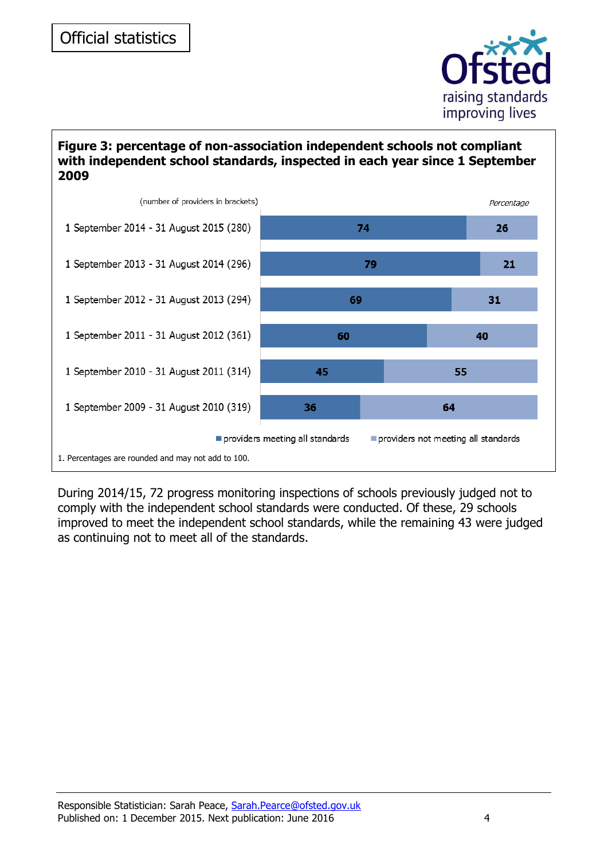

#### **Figure 3: percentage of non-association independent schools not compliant with independent school standards, inspected in each year since 1 September 2009**



During 2014/15, 72 progress monitoring inspections of schools previously judged not to comply with the independent school standards were conducted. Of these, 29 schools improved to meet the independent school standards, while the remaining 43 were judged as continuing not to meet all of the standards.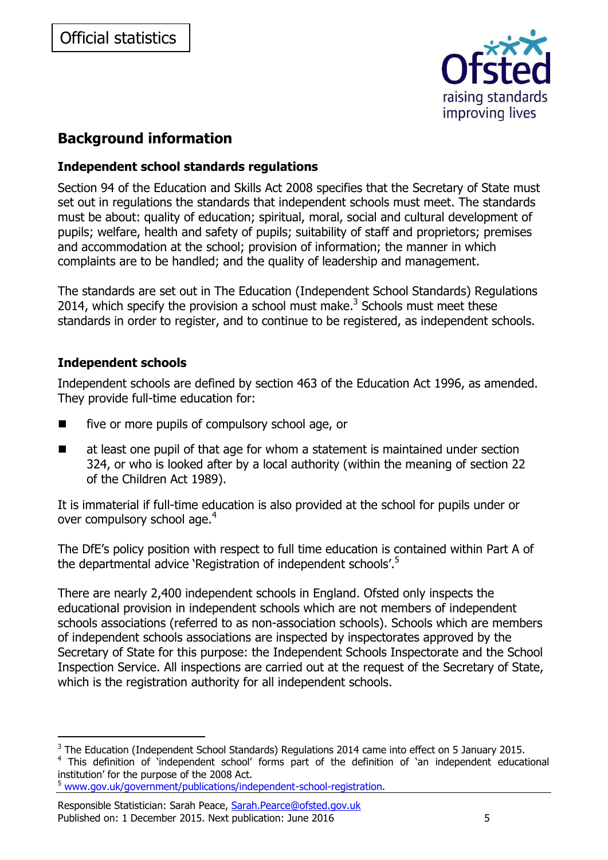

# **Background information**

# **Independent school standards regulations**

Section 94 of the Education and Skills Act 2008 specifies that the Secretary of State must set out in regulations the standards that independent schools must meet. The standards must be about: quality of education; spiritual, moral, social and cultural development of pupils; welfare, health and safety of pupils; suitability of staff and proprietors; premises and accommodation at the school; provision of information; the manner in which complaints are to be handled; and the quality of leadership and management.

The standards are set out in The Education (Independent School Standards) Regulations 2014, which specify the provision a school must make. $3$  Schools must meet these standards in order to register, and to continue to be registered, as independent schools.

# **Independent schools**

-

Independent schools are defined by section 463 of the Education Act 1996, as amended. They provide full-time education for:

- five or more pupils of compulsory school age, or
- $\blacksquare$  at least one pupil of that age for whom a statement is maintained under section 324, or who is looked after by a local authority (within the meaning of [section 22](https://www.lexisnexis.com/uk/legal/search/runRemoteLink.do?langcountry=GB&linkInfo=F%23GB%23UK_ACTS%23section%2522%25sect%2522%25num%251989_41a%25&risb=21_T12767422857&bct=A&service=citation&A=0.1948825141243744) of the Children Act 1989).

It is immaterial if full-time education is also provided at the school for pupils under or over compulsory school age.<sup>4</sup>

The DfE's policy position with respect to full time education is contained within Part A of the departmental advice 'Registration of independent schools'.<sup>5</sup>

There are nearly 2,400 independent schools in England. Ofsted only inspects the educational provision in independent schools which are not members of independent schools associations (referred to as non-association schools). Schools which are members of independent schools associations are inspected by inspectorates approved by the Secretary of State for this purpose: the Independent Schools Inspectorate and the School Inspection Service. All inspections are carried out at the request of the Secretary of State, which is the registration authority for all independent schools.

 $3$  The Education (Independent School Standards) Regulations 2014 came into effect on 5 January 2015.

<sup>&</sup>lt;sup>4</sup> This definition of 'independent school' forms part of the definition of 'an independent educational institution' for the purpose of the 2008 Act.

<sup>5</sup> [www.gov.uk/government/publications/independent-school-registration.](http://www.gov.uk/government/publications/independent-school-registration)

Responsible Statistician: Sarah Peace, [Sarah.Pearce@ofsted.gov.uk](mailto:sarah.pearce@ofsted.gov.uk) Published on: 1 December 2015. Next publication: June 2016 **5**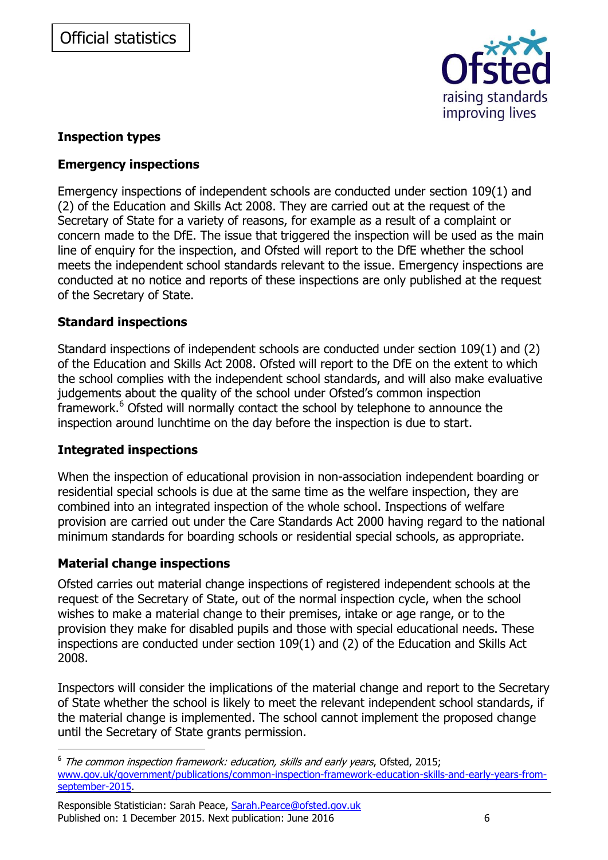

# **Inspection types**

### **Emergency inspections**

Emergency inspections of independent schools are conducted under section 109(1) and (2) of the Education and Skills Act 2008. They are carried out at the request of the Secretary of State for a variety of reasons, for example as a result of a complaint or concern made to the DfE. The issue that triggered the inspection will be used as the main line of enquiry for the inspection, and Ofsted will report to the DfE whether the school meets the independent school standards relevant to the issue. Emergency inspections are conducted at no notice and reports of these inspections are only published at the request of the Secretary of State.

#### **Standard inspections**

Standard inspections of independent schools are conducted under section 109(1) and (2) of the Education and Skills Act 2008. Ofsted will report to the DfE on the extent to which the school complies with the independent school standards, and will also make evaluative judgements about the quality of the school under Ofsted's common inspection framework. <sup>6</sup> Ofsted will normally contact the school by telephone to announce the inspection around lunchtime on the day before the inspection is due to start.

# **Integrated inspections**

When the inspection of educational provision in non-association independent boarding or residential special schools is due at the same time as the welfare inspection, they are combined into an integrated inspection of the whole school. Inspections of welfare provision are carried out under the Care Standards Act 2000 having regard to the national minimum standards for boarding schools or residential special schools, as appropriate.

# **Material change inspections**

-

Ofsted carries out material change inspections of registered independent schools at the request of the Secretary of State, out of the normal inspection cycle, when the school wishes to make a material change to their premises, intake or age range, or to the provision they make for disabled pupils and those with special educational needs. These inspections are conducted under section 109(1) and (2) of the Education and Skills Act 2008.

Inspectors will consider the implications of the material change and report to the Secretary of State whether the school is likely to meet the relevant independent school standards, if the material change is implemented. The school cannot implement the proposed change until the Secretary of State grants permission.

<sup>6</sup> The common inspection framework: education, skills and early years, Ofsted, 2015; [www.gov.uk/government/publications/common-inspection-framework-education-skills-and-early-years-from](http://www.gov.uk/government/publications/common-inspection-framework-education-skills-and-early-years-from-september-2015)[september-2015.](http://www.gov.uk/government/publications/common-inspection-framework-education-skills-and-early-years-from-september-2015)